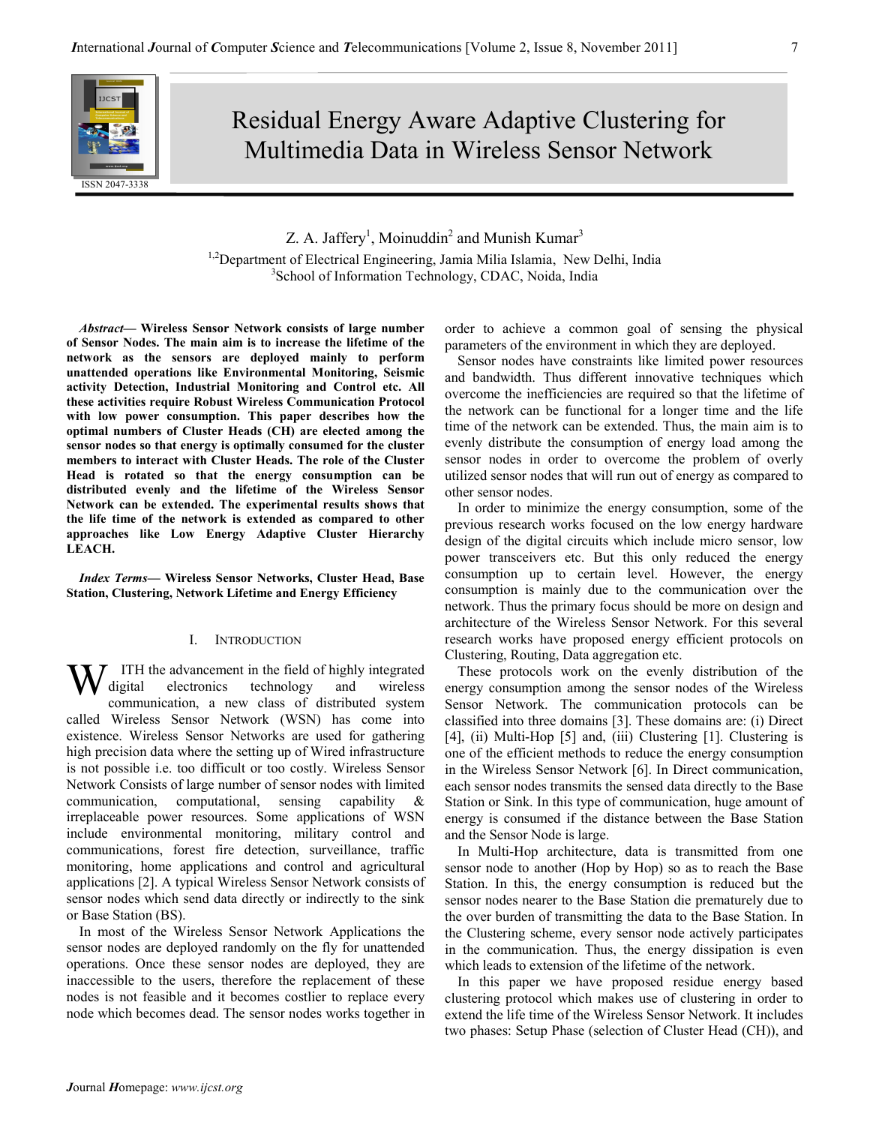# Residual Energy Aware Adaptive Clustering for Multimedia Data in Wireless Sensor Network

## Z. A. Jaffery<sup>1</sup>, Moinuddin<sup>2</sup> and Munish Kumar<sup>3</sup> <sup>1,2</sup>Department of Electrical Engineering, Jamia Milia Islamia, New Delhi, India 3 School of Information Technology, CDAC, Noida, India

Abstract— Wireless Sensor Network consists of large number of Sensor Nodes. The main aim is to increase the lifetime of the network as the sensors are deployed mainly to perform unattended operations like Environmental Monitoring, Seismic activity Detection, Industrial Monitoring and Control etc. All these activities require Robust Wireless Communication Protocol with low power consumption. This paper describes how the optimal numbers of Cluster Heads (CH) are elected among the sensor nodes so that energy is optimally consumed for the cluster members to interact with Cluster Heads. The role of the Cluster Head is rotated so that the energy consumption can be distributed evenly and the lifetime of the Wireless Sensor Network can be extended. The experimental results shows that the life time of the network is extended as compared to other approaches like Low Energy Adaptive Cluster Hierarchy LEACH.

Index Terms— Wireless Sensor Networks, Cluster Head, Base Station, Clustering, Network Lifetime and Energy Efficiency

### I. INTRODUCTION

ITH the advancement in the field of highly integrated digital electronics technology and wireless communication, a new class of distributed system called Wireless Sensor Network (WSN) has come into existence. Wireless Sensor Networks are used for gathering high precision data where the setting up of Wired infrastructure is not possible i.e. too difficult or too costly. Wireless Sensor Network Consists of large number of sensor nodes with limited communication, computational, sensing capability & irreplaceable power resources. Some applications of WSN include environmental monitoring, military control and communications, forest fire detection, surveillance, traffic monitoring, home applications and control and agricultural applications [2]. A typical Wireless Sensor Network consists of sensor nodes which send data directly or indirectly to the sink or Base Station (BS). W

In most of the Wireless Sensor Network Applications the sensor nodes are deployed randomly on the fly for unattended operations. Once these sensor nodes are deployed, they are inaccessible to the users, therefore the replacement of these nodes is not feasible and it becomes costlier to replace every node which becomes dead. The sensor nodes works together in order to achieve a common goal of sensing the physical parameters of the environment in which they are deployed.

Sensor nodes have constraints like limited power resources and bandwidth. Thus different innovative techniques which overcome the inefficiencies are required so that the lifetime of the network can be functional for a longer time and the life time of the network can be extended. Thus, the main aim is to evenly distribute the consumption of energy load among the sensor nodes in order to overcome the problem of overly utilized sensor nodes that will run out of energy as compared to other sensor nodes.

In order to minimize the energy consumption, some of the previous research works focused on the low energy hardware design of the digital circuits which include micro sensor, low power transceivers etc. But this only reduced the energy consumption up to certain level. However, the energy consumption is mainly due to the communication over the network. Thus the primary focus should be more on design and architecture of the Wireless Sensor Network. For this several research works have proposed energy efficient protocols on Clustering, Routing, Data aggregation etc.

These protocols work on the evenly distribution of the energy consumption among the sensor nodes of the Wireless Sensor Network. The communication protocols can be classified into three domains [3]. These domains are: (i) Direct [4], (ii) Multi-Hop [5] and, (iii) Clustering [1]. Clustering is one of the efficient methods to reduce the energy consumption in the Wireless Sensor Network [6]. In Direct communication, each sensor nodes transmits the sensed data directly to the Base Station or Sink. In this type of communication, huge amount of energy is consumed if the distance between the Base Station and the Sensor Node is large.

In Multi-Hop architecture, data is transmitted from one sensor node to another (Hop by Hop) so as to reach the Base Station. In this, the energy consumption is reduced but the sensor nodes nearer to the Base Station die prematurely due to the over burden of transmitting the data to the Base Station. In the Clustering scheme, every sensor node actively participates in the communication. Thus, the energy dissipation is even which leads to extension of the lifetime of the network.

In this paper we have proposed residue energy based clustering protocol which makes use of clustering in order to extend the life time of the Wireless Sensor Network. It includes two phases: Setup Phase (selection of Cluster Head (CH)), and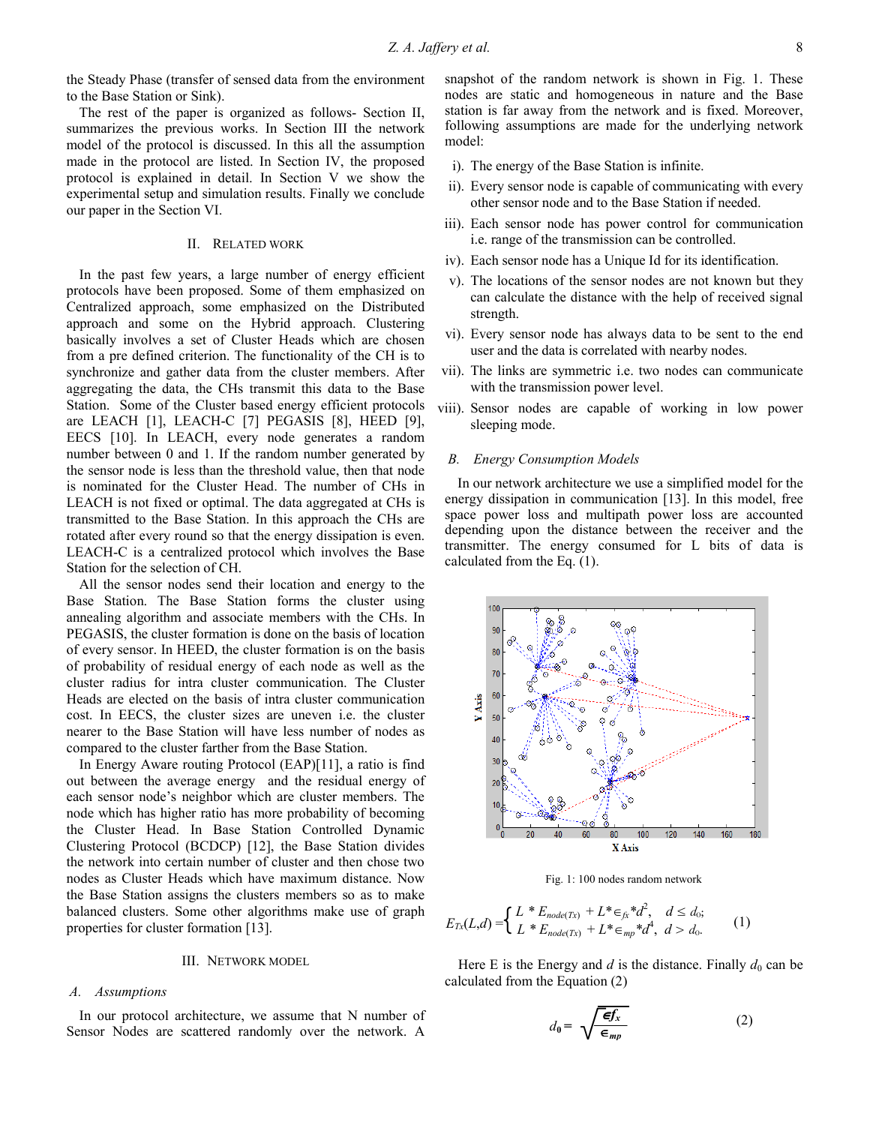the Steady Phase (transfer of sensed data from the environment to the Base Station or Sink).

The rest of the paper is organized as follows- Section II, summarizes the previous works. In Section III the network model of the protocol is discussed. In this all the assumption made in the protocol are listed. In Section IV, the proposed protocol is explained in detail. In Section V we show the experimental setup and simulation results. Finally we conclude our paper in the Section VI.

#### II. RELATED WORK

In the past few years, a large number of energy efficient protocols have been proposed. Some of them emphasized on Centralized approach, some emphasized on the Distributed approach and some on the Hybrid approach. Clustering basically involves a set of Cluster Heads which are chosen from a pre defined criterion. The functionality of the CH is to synchronize and gather data from the cluster members. After aggregating the data, the CHs transmit this data to the Base Station. Some of the Cluster based energy efficient protocols are LEACH [1], LEACH-C [7] PEGASIS [8], HEED [9], EECS [10]. In LEACH, every node generates a random number between 0 and 1. If the random number generated by the sensor node is less than the threshold value, then that node is nominated for the Cluster Head. The number of CHs in LEACH is not fixed or optimal. The data aggregated at CHs is transmitted to the Base Station. In this approach the CHs are rotated after every round so that the energy dissipation is even. LEACH-C is a centralized protocol which involves the Base Station for the selection of CH.

All the sensor nodes send their location and energy to the Base Station. The Base Station forms the cluster using annealing algorithm and associate members with the CHs. In PEGASIS, the cluster formation is done on the basis of location of every sensor. In HEED, the cluster formation is on the basis of probability of residual energy of each node as well as the cluster radius for intra cluster communication. The Cluster Heads are elected on the basis of intra cluster communication cost. In EECS, the cluster sizes are uneven i.e. the cluster nearer to the Base Station will have less number of nodes as compared to the cluster farther from the Base Station.

In Energy Aware routing Protocol (EAP)[11], a ratio is find out between the average energy and the residual energy of each sensor node's neighbor which are cluster members. The node which has higher ratio has more probability of becoming the Cluster Head. In Base Station Controlled Dynamic Clustering Protocol (BCDCP) [12], the Base Station divides the network into certain number of cluster and then chose two nodes as Cluster Heads which have maximum distance. Now the Base Station assigns the clusters members so as to make balanced clusters. Some other algorithms make use of graph properties for cluster formation [13].

#### III. NETWORK MODEL

#### A. Assumptions

In our protocol architecture, we assume that N number of Sensor Nodes are scattered randomly over the network. A snapshot of the random network is shown in Fig. 1. These nodes are static and homogeneous in nature and the Base station is far away from the network and is fixed. Moreover, following assumptions are made for the underlying network model:

- i). The energy of the Base Station is infinite.
- ii). Every sensor node is capable of communicating with every other sensor node and to the Base Station if needed.
- iii). Each sensor node has power control for communication i.e. range of the transmission can be controlled.
- iv). Each sensor node has a Unique Id for its identification.
- v). The locations of the sensor nodes are not known but they can calculate the distance with the help of received signal strength.
- vi). Every sensor node has always data to be sent to the end user and the data is correlated with nearby nodes.
- vii). The links are symmetric i.e. two nodes can communicate with the transmission power level.
- viii). Sensor nodes are capable of working in low power sleeping mode.

#### B. Energy Consumption Models

In our network architecture we use a simplified model for the energy dissipation in communication [13]. In this model, free space power loss and multipath power loss are accounted depending upon the distance between the receiver and the transmitter. The energy consumed for L bits of data is calculated from the Eq. (1).



Fig. 1: 100 nodes random network

$$
E_{Tx}(L,d) = \begin{cases} L * E_{node(Tx)} + L * \in_{fx} * d^2, & d \le d_0; \\ L * E_{node(Tx)} + L * \in_{mp} * d^4, & d > d_0. \end{cases}
$$
 (1)

Here E is the Energy and  $d$  is the distance. Finally  $d_0$  can be calculated from the Equation (2)

$$
d_0 = \sqrt{\frac{\epsilon f_x}{\epsilon_{mp}}} \tag{2}
$$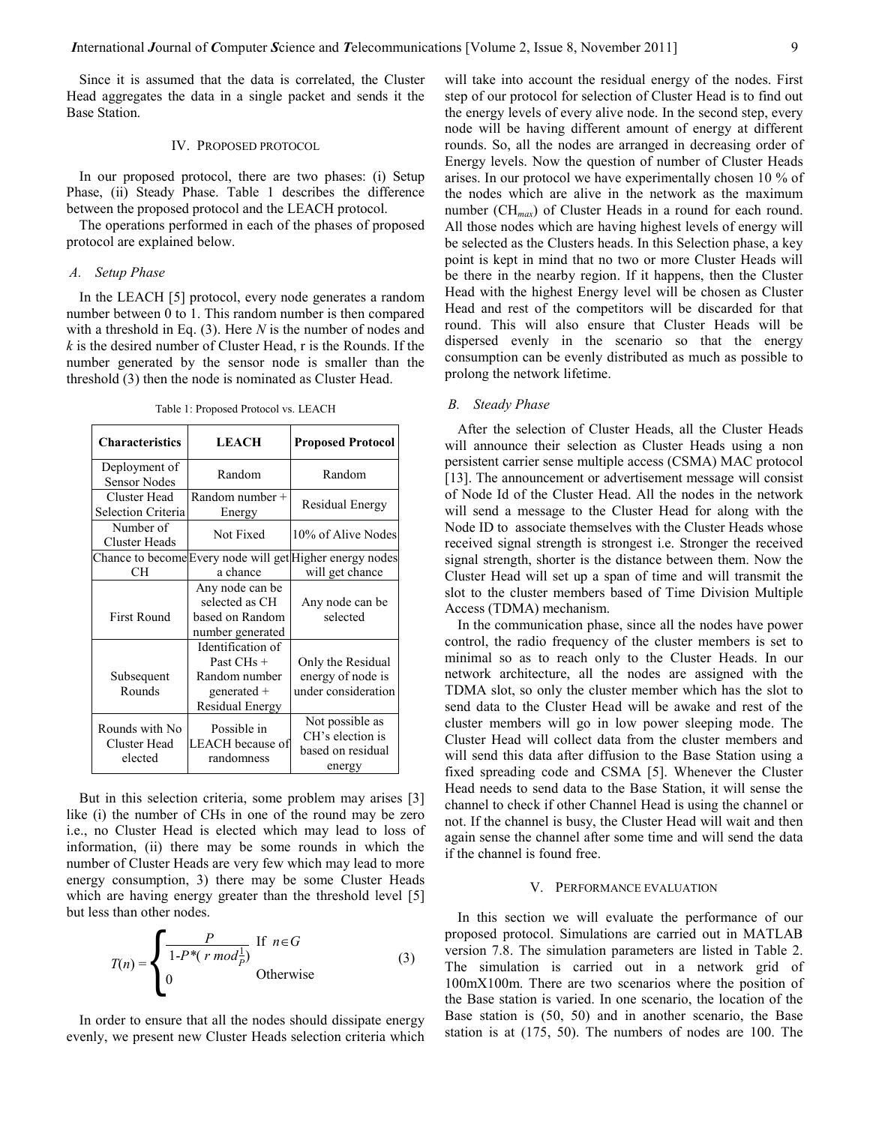Since it is assumed that the data is correlated, the Cluster Head aggregates the data in a single packet and sends it the Base Station.

#### IV. PROPOSED PROTOCOL

In our proposed protocol, there are two phases: (i) Setup Phase, (ii) Steady Phase. Table 1 describes the difference between the proposed protocol and the LEACH protocol.

The operations performed in each of the phases of proposed protocol are explained below.

#### A. Setup Phase

In the LEACH [5] protocol, every node generates a random number between 0 to 1. This random number is then compared with a threshold in Eq.  $(3)$ . Here N is the number of nodes and  $k$  is the desired number of Cluster Head, r is the Rounds. If the number generated by the sensor node is smaller than the threshold (3) then the node is nominated as Cluster Head.

Table 1: Proposed Protocol vs. LEACH

| <b>Characteristics</b>                    | <b>LEACH</b>                                                                         | <b>Proposed Protocol</b>                                                    |  |
|-------------------------------------------|--------------------------------------------------------------------------------------|-----------------------------------------------------------------------------|--|
| Deployment of<br><b>Sensor Nodes</b>      | Random                                                                               | Random                                                                      |  |
| Cluster Head<br>Selection Criteria        | Random number +<br>Energy                                                            | Residual Energy                                                             |  |
| Number of<br>Cluster Heads                | Not Fixed                                                                            | 10% of Alive Nodes                                                          |  |
| CН                                        | a chance                                                                             | Chance to become Every node will get Higher energy nodes<br>will get chance |  |
| <b>First Round</b>                        | Any node can be<br>selected as CH<br>based on Random<br>number generated             | Any node can be<br>selected                                                 |  |
| Subsequent<br>Rounds                      | Identification of<br>Past CHs +<br>Random number<br>generated $+$<br>Residual Energy | Only the Residual<br>energy of node is<br>under consideration               |  |
| Rounds with No<br>Cluster Head<br>elected | Possible in<br>LEACH because of<br>randomness                                        | Not possible as<br>CH's election is<br>based on residual<br>energy          |  |

But in this selection criteria, some problem may arises [3] like (i) the number of CHs in one of the round may be zero i.e., no Cluster Head is elected which may lead to loss of information, (ii) there may be some rounds in which the number of Cluster Heads are very few which may lead to more energy consumption, 3) there may be some Cluster Heads but less than other nodes.

which are having energy greater than the threshold level [5]  
but less than other nodes.  

$$
T(n) = \begin{cases} \frac{P}{1-P^*(r \mod_p^{\frac{1}{p}})} & \text{If } n \in G \\ 0 & \text{Otherwise} \end{cases}
$$
(3)

In order to ensure that all the nodes should dissipate energy evenly, we present new Cluster Heads selection criteria which will take into account the residual energy of the nodes. First step of our protocol for selection of Cluster Head is to find out the energy levels of every alive node. In the second step, every node will be having different amount of energy at different rounds. So, all the nodes are arranged in decreasing order of Energy levels. Now the question of number of Cluster Heads arises. In our protocol we have experimentally chosen 10 % of the nodes which are alive in the network as the maximum number  $(CH_{max})$  of Cluster Heads in a round for each round. All those nodes which are having highest levels of energy will be selected as the Clusters heads. In this Selection phase, a key point is kept in mind that no two or more Cluster Heads will be there in the nearby region. If it happens, then the Cluster Head with the highest Energy level will be chosen as Cluster Head and rest of the competitors will be discarded for that round. This will also ensure that Cluster Heads will be dispersed evenly in the scenario so that the energy consumption can be evenly distributed as much as possible to prolong the network lifetime.

### B. Steady Phase

After the selection of Cluster Heads, all the Cluster Heads will announce their selection as Cluster Heads using a non persistent carrier sense multiple access (CSMA) MAC protocol [13]. The announcement or advertisement message will consist of Node Id of the Cluster Head. All the nodes in the network will send a message to the Cluster Head for along with the Node ID to associate themselves with the Cluster Heads whose received signal strength is strongest i.e. Stronger the received signal strength, shorter is the distance between them. Now the Cluster Head will set up a span of time and will transmit the slot to the cluster members based of Time Division Multiple Access (TDMA) mechanism.

In the communication phase, since all the nodes have power control, the radio frequency of the cluster members is set to minimal so as to reach only to the Cluster Heads. In our network architecture, all the nodes are assigned with the TDMA slot, so only the cluster member which has the slot to send data to the Cluster Head will be awake and rest of the cluster members will go in low power sleeping mode. The Cluster Head will collect data from the cluster members and will send this data after diffusion to the Base Station using a fixed spreading code and CSMA [5]. Whenever the Cluster Head needs to send data to the Base Station, it will sense the channel to check if other Channel Head is using the channel or not. If the channel is busy, the Cluster Head will wait and then again sense the channel after some time and will send the data if the channel is found free.

#### V. PERFORMANCE EVALUATION

In this section we will evaluate the performance of our proposed protocol. Simulations are carried out in MATLAB version 7.8. The simulation parameters are listed in Table 2. The simulation is carried out in a network grid of 100mX100m. There are two scenarios where the position of the Base station is varied. In one scenario, the location of the Base station is (50, 50) and in another scenario, the Base station is at (175, 50). The numbers of nodes are 100. The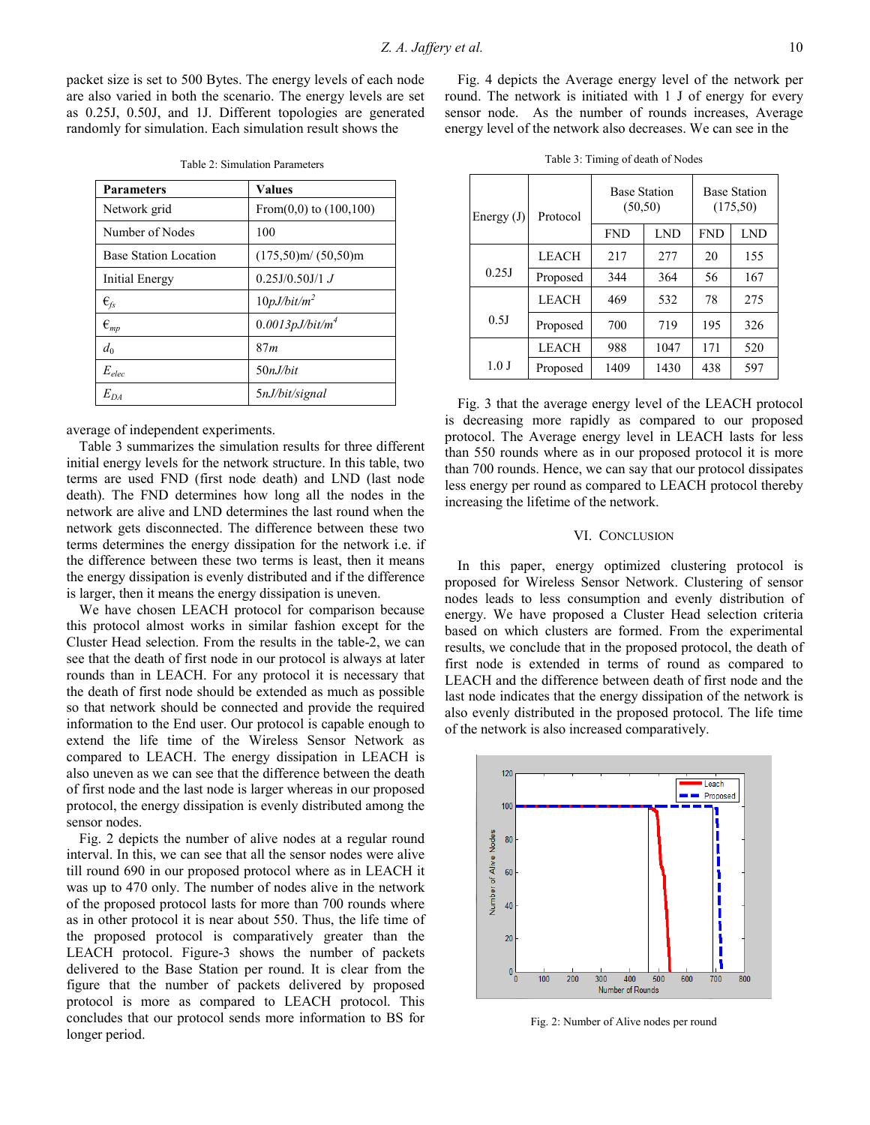packet size is set to 500 Bytes. The energy levels of each node are also varied in both the scenario. The energy levels are set as 0.25J, 0.50J, and 1J. Different topologies are generated randomly for simulation. Each simulation result shows the

| <b>Parameters</b>                     | <b>Values</b>               |  |  |
|---------------------------------------|-----------------------------|--|--|
| Network grid                          | From $(0,0)$ to $(100,100)$ |  |  |
| Number of Nodes                       | 100                         |  |  |
| <b>Base Station Location</b>          | $(175,50)$ m/ $(50,50)$ m   |  |  |
| Initial Energy                        | $0.25J/0.50J/1$ J           |  |  |
| $\epsilon_{\rm fs}$                   | 10pJ/bit/m <sup>2</sup>     |  |  |
| $\boldsymbol{\epsilon}_{\textit{mp}}$ | $0.0013pJ/bit/m^4$          |  |  |
| $d_0$                                 | 87m                         |  |  |
| $E_{elec}$                            | 50nJ/bit                    |  |  |
| $E_{DA}$                              | 5nJ/bit/signal              |  |  |

Table 2: Simulation Parameters

average of independent experiments.

Table 3 summarizes the simulation results for three different initial energy levels for the network structure. In this table, two terms are used FND (first node death) and LND (last node death). The FND determines how long all the nodes in the network are alive and LND determines the last round when the network gets disconnected. The difference between these two terms determines the energy dissipation for the network i.e. if the difference between these two terms is least, then it means the energy dissipation is evenly distributed and if the difference is larger, then it means the energy dissipation is uneven.

We have chosen LEACH protocol for comparison because this protocol almost works in similar fashion except for the Cluster Head selection. From the results in the table-2, we can see that the death of first node in our protocol is always at later rounds than in LEACH. For any protocol it is necessary that the death of first node should be extended as much as possible so that network should be connected and provide the required information to the End user. Our protocol is capable enough to extend the life time of the Wireless Sensor Network as compared to LEACH. The energy dissipation in LEACH is also uneven as we can see that the difference between the death of first node and the last node is larger whereas in our proposed protocol, the energy dissipation is evenly distributed among the sensor nodes.

Fig. 2 depicts the number of alive nodes at a regular round interval. In this, we can see that all the sensor nodes were alive till round 690 in our proposed protocol where as in LEACH it was up to 470 only. The number of nodes alive in the network of the proposed protocol lasts for more than 700 rounds where as in other protocol it is near about 550. Thus, the life time of the proposed protocol is comparatively greater than the LEACH protocol. Figure-3 shows the number of packets delivered to the Base Station per round. It is clear from the figure that the number of packets delivered by proposed protocol is more as compared to LEACH protocol. This concludes that our protocol sends more information to BS for longer period.

Fig. 4 depicts the Average energy level of the network per round. The network is initiated with 1 J of energy for every sensor node. As the number of rounds increases, Average energy level of the network also decreases. We can see in the

| Energy $(J)$ | Protocol     | <b>Base Station</b><br>(50, 50) |            | <b>Base Station</b><br>(175,50) |     |
|--------------|--------------|---------------------------------|------------|---------------------------------|-----|
|              |              | <b>FND</b>                      | <b>LND</b> | <b>FND</b>                      | LND |
|              | <b>LEACH</b> | 217                             | 277        | 20                              | 155 |
| 0.25J        | Proposed     | 344                             | 364        | 56                              | 167 |
|              | <b>LEACH</b> | 469                             | 532        | 78                              | 275 |
| 0.5J         | Proposed     | 700                             | 719        | 195                             | 326 |
|              | <b>LEACH</b> | 988                             | 1047       | 171                             | 520 |
| 1.0J         | Proposed     | 1409                            | 1430       | 438                             | 597 |

Fig. 3 that the average energy level of the LEACH protocol is decreasing more rapidly as compared to our proposed protocol. The Average energy level in LEACH lasts for less than 550 rounds where as in our proposed protocol it is more than 700 rounds. Hence, we can say that our protocol dissipates less energy per round as compared to LEACH protocol thereby increasing the lifetime of the network.

#### VI. CONCLUSION

In this paper, energy optimized clustering protocol is proposed for Wireless Sensor Network. Clustering of sensor nodes leads to less consumption and evenly distribution of energy. We have proposed a Cluster Head selection criteria based on which clusters are formed. From the experimental results, we conclude that in the proposed protocol, the death of first node is extended in terms of round as compared to LEACH and the difference between death of first node and the last node indicates that the energy dissipation of the network is also evenly distributed in the proposed protocol. The life time of the network is also increased comparatively.



Fig. 2: Number of Alive nodes per round